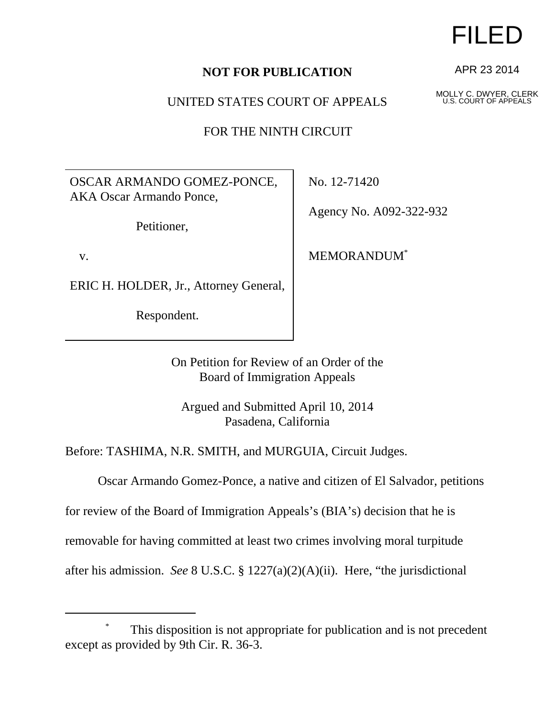## **NOT FOR PUBLICATION**

UNITED STATES COURT OF APPEALS

FOR THE NINTH CIRCUIT

OSCAR ARMANDO GOMEZ-PONCE, AKA Oscar Armando Ponce,

Petitioner,

v.

ERIC H. HOLDER, Jr., Attorney General,

Respondent.

No. 12-71420

Agency No. A092-322-932

MEMORANDUM\*

On Petition for Review of an Order of the Board of Immigration Appeals

Argued and Submitted April 10, 2014 Pasadena, California

Before: TASHIMA, N.R. SMITH, and MURGUIA, Circuit Judges.

Oscar Armando Gomez-Ponce, a native and citizen of El Salvador, petitions

for review of the Board of Immigration Appeals's (BIA's) decision that he is

removable for having committed at least two crimes involving moral turpitude

after his admission. *See* 8 U.S.C. § 1227(a)(2)(A)(ii). Here, "the jurisdictional

FILED

APR 23 2014

MOLLY C. DWYER, CLERK U.S. COURT OF APPEALS

This disposition is not appropriate for publication and is not precedent except as provided by 9th Cir. R. 36-3.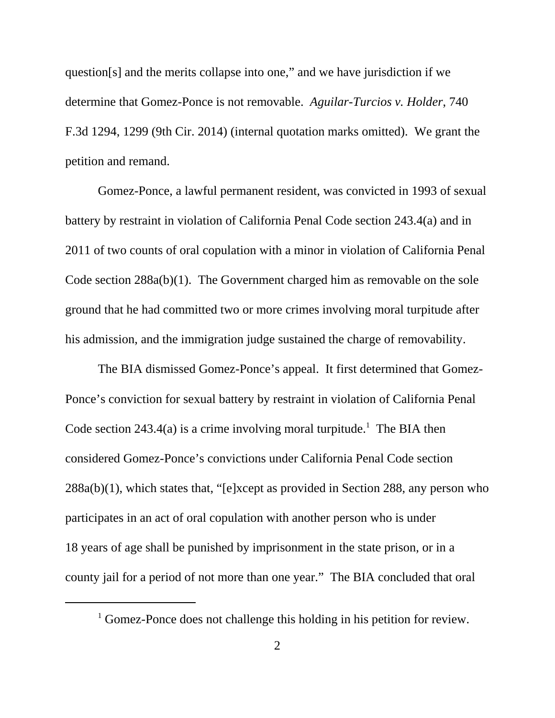question[s] and the merits collapse into one," and we have jurisdiction if we determine that Gomez-Ponce is not removable. *Aguilar-Turcios v. Holder*, 740 F.3d 1294, 1299 (9th Cir. 2014) (internal quotation marks omitted). We grant the petition and remand.

Gomez-Ponce, a lawful permanent resident, was convicted in 1993 of sexual battery by restraint in violation of California Penal Code section 243.4(a) and in 2011 of two counts of oral copulation with a minor in violation of California Penal Code section 288a(b)(1). The Government charged him as removable on the sole ground that he had committed two or more crimes involving moral turpitude after his admission, and the immigration judge sustained the charge of removability.

The BIA dismissed Gomez-Ponce's appeal. It first determined that Gomez-Ponce's conviction for sexual battery by restraint in violation of California Penal Code section  $243.4(a)$  is a crime involving moral turpitude.<sup>1</sup> The BIA then considered Gomez-Ponce's convictions under California Penal Code section 288a(b)(1), which states that, "[e]xcept as provided in Section 288, any person who participates in an act of oral copulation with another person who is under 18 years of age shall be punished by imprisonment in the state prison, or in a county jail for a period of not more than one year." The BIA concluded that oral

<sup>&</sup>lt;sup>1</sup> Gomez-Ponce does not challenge this holding in his petition for review.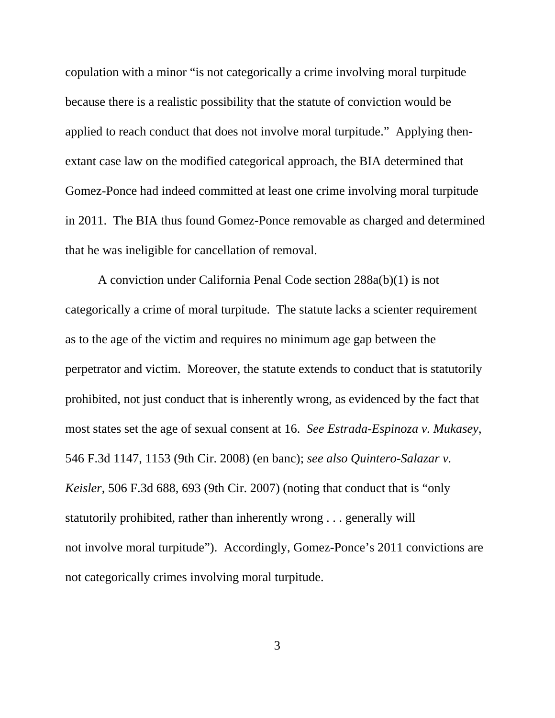copulation with a minor "is not categorically a crime involving moral turpitude because there is a realistic possibility that the statute of conviction would be applied to reach conduct that does not involve moral turpitude." Applying thenextant case law on the modified categorical approach, the BIA determined that Gomez-Ponce had indeed committed at least one crime involving moral turpitude in 2011. The BIA thus found Gomez-Ponce removable as charged and determined that he was ineligible for cancellation of removal.

A conviction under California Penal Code section 288a(b)(1) is not categorically a crime of moral turpitude. The statute lacks a scienter requirement as to the age of the victim and requires no minimum age gap between the perpetrator and victim. Moreover, the statute extends to conduct that is statutorily prohibited, not just conduct that is inherently wrong, as evidenced by the fact that most states set the age of sexual consent at 16. *See Estrada-Espinoza v. Mukasey*, 546 F.3d 1147, 1153 (9th Cir. 2008) (en banc); *see also Quintero-Salazar v. Keisler*, 506 F.3d 688, 693 (9th Cir. 2007) (noting that conduct that is "only statutorily prohibited, rather than inherently wrong . . . generally will not involve moral turpitude"). Accordingly, Gomez-Ponce's 2011 convictions are not categorically crimes involving moral turpitude.

3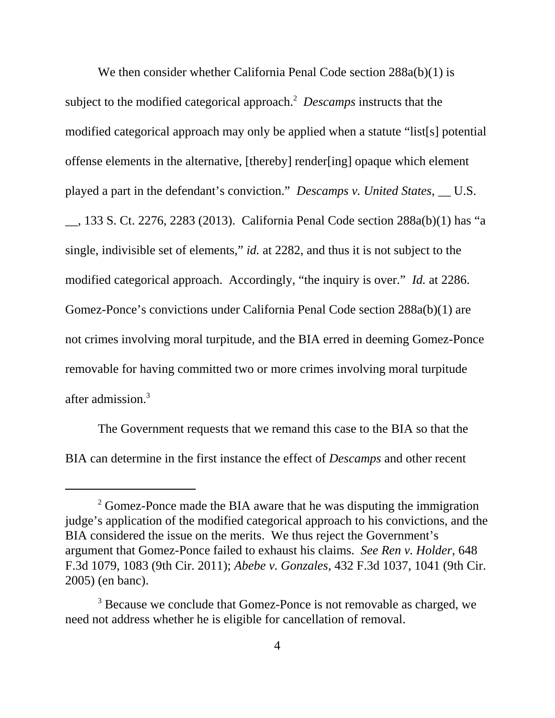We then consider whether California Penal Code section 288a(b)(1) is subject to the modified categorical approach.<sup>2</sup> Descamps instructs that the modified categorical approach may only be applied when a statute "list[s] potential offense elements in the alternative, [thereby] render[ing] opaque which element played a part in the defendant's conviction." *Descamps v. United States*, \_\_ U.S. \_\_, 133 S. Ct. 2276, 2283 (2013). California Penal Code section 288a(b)(1) has "a single, indivisible set of elements," *id.* at 2282, and thus it is not subject to the modified categorical approach. Accordingly, "the inquiry is over." *Id.* at 2286. Gomez-Ponce's convictions under California Penal Code section 288a(b)(1) are not crimes involving moral turpitude, and the BIA erred in deeming Gomez-Ponce removable for having committed two or more crimes involving moral turpitude after admission.3

The Government requests that we remand this case to the BIA so that the BIA can determine in the first instance the effect of *Descamps* and other recent

 $2^2$  Gomez-Ponce made the BIA aware that he was disputing the immigration judge's application of the modified categorical approach to his convictions, and the BIA considered the issue on the merits. We thus reject the Government's argument that Gomez-Ponce failed to exhaust his claims. *See Ren v. Holder*, 648 F.3d 1079, 1083 (9th Cir. 2011); *Abebe v. Gonzales*, 432 F.3d 1037, 1041 (9th Cir. 2005) (en banc).

<sup>&</sup>lt;sup>3</sup> Because we conclude that Gomez-Ponce is not removable as charged, we need not address whether he is eligible for cancellation of removal.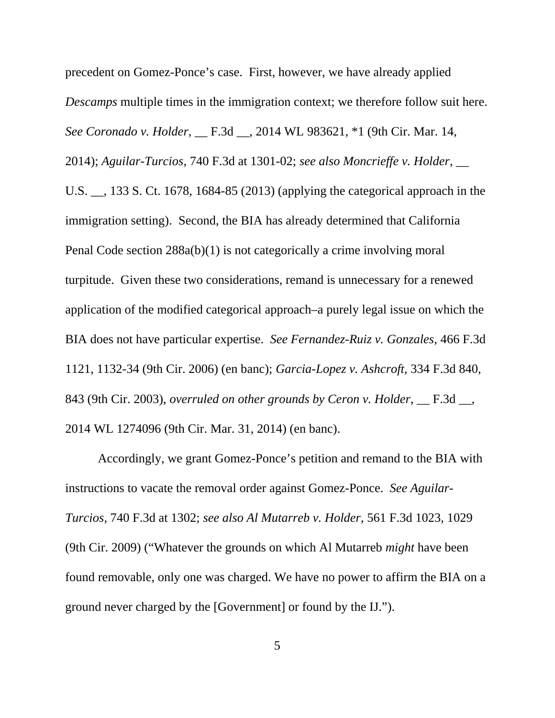precedent on Gomez-Ponce's case. First, however, we have already applied *Descamps* multiple times in the immigration context; we therefore follow suit here. *See Coronado v. Holder*, \_\_ F.3d \_\_, 2014 WL 983621, \*1 (9th Cir. Mar. 14, 2014); *Aguilar-Turcios*, 740 F.3d at 1301-02; *see also Moncrieffe v. Holder*, \_\_ U.S. \_\_, 133 S. Ct. 1678, 1684-85 (2013) (applying the categorical approach in the immigration setting). Second, the BIA has already determined that California Penal Code section 288a(b)(1) is not categorically a crime involving moral turpitude. Given these two considerations, remand is unnecessary for a renewed application of the modified categorical approach–a purely legal issue on which the BIA does not have particular expertise. *See Fernandez-Ruiz v. Gonzales*, 466 F.3d 1121, 1132-34 (9th Cir. 2006) (en banc); *Garcia-Lopez v. Ashcroft*, 334 F.3d 840, 843 (9th Cir. 2003), *overruled on other grounds by Ceron v. Holder*, \_\_ F.3d \_\_, 2014 WL 1274096 (9th Cir. Mar. 31, 2014) (en banc).

Accordingly, we grant Gomez-Ponce's petition and remand to the BIA with instructions to vacate the removal order against Gomez-Ponce. *See Aguilar-Turcios*, 740 F.3d at 1302; *see also Al Mutarreb v. Holder*, 561 F.3d 1023, 1029 (9th Cir. 2009) ("Whatever the grounds on which Al Mutarreb *might* have been found removable, only one was charged. We have no power to affirm the BIA on a ground never charged by the [Government] or found by the IJ.").